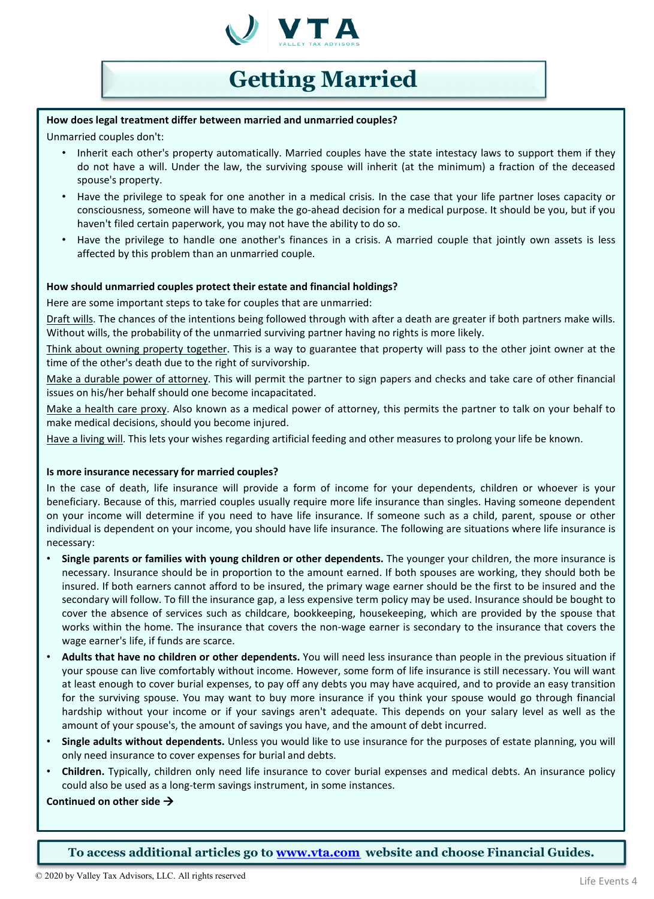

# **Getting Married**

### **How does legal treatment differ between married and unmarried couples?**

Unmarried couples don't:

- Inherit each other's property automatically. Married couples have the state intestacy laws to support them if they do not have a will. Under the law, the surviving spouse will inherit (at the minimum) a fraction of the deceased spouse's property.
- Have the privilege to speak for one another in a medical crisis. In the case that your life partner loses capacity or consciousness, someone will have to make the go-ahead decision for a medical purpose. It should be you, but if you haven't filed certain paperwork, you may not have the ability to do so.
- Have the privilege to handle one another's finances in a crisis. A married couple that jointly own assets is less affected by this problem than an unmarried couple.

### **How should unmarried couples protect their estate and financial holdings?**

Here are some important steps to take for couples that are unmarried:

Draft wills. The chances of the intentions being followed through with after a death are greater if both partners make wills. Without wills, the probability of the unmarried surviving partner having no rights is more likely.

Think about owning property together. This is a way to guarantee that property will pass to the other joint owner at the time of the other's death due to the right of survivorship.

Make a durable power of attorney. This will permit the partner to sign papers and checks and take care of other financial issues on his/her behalf should one become incapacitated.

Make a health care proxy. Also known as a medical power of attorney, this permits the partner to talk on your behalf to make medical decisions, should you become injured.

Have a living will. This lets your wishes regarding artificial feeding and other measures to prolong your life be known.

### **Is more insurance necessary for married couples?**

In the case of death, life insurance will provide a form of income for your dependents, children or whoever is your beneficiary. Because of this, married couples usually require more life insurance than singles. Having someone dependent on your income will determine if you need to have life insurance. If someone such as a child, parent, spouse or other individual is dependent on your income, you should have life insurance. The following are situations where life insurance is necessary:

- **Single parents or families with young children or other dependents.** The younger your children, the more insurance is necessary. Insurance should be in proportion to the amount earned. If both spouses are working, they should both be insured. If both earners cannot afford to be insured, the primary wage earner should be the first to be insured and the secondary will follow. To fill the insurance gap, a less expensive term policy may be used. Insurance should be bought to cover the absence of services such as childcare, bookkeeping, housekeeping, which are provided by the spouse that works within the home. The insurance that covers the non-wage earner is secondary to the insurance that covers the wage earner's life, if funds are scarce.
- **Adults that have no children or other dependents.** You will need less insurance than people in the previous situation if your spouse can live comfortably without income. However, some form of life insurance is still necessary. You will want at least enough to cover burial expenses, to pay off any debts you may have acquired, and to provide an easy transition for the surviving spouse. You may want to buy more insurance if you think your spouse would go through financial hardship without your income or if your savings aren't adequate. This depends on your salary level as well as the amount of your spouse's, the amount of savings you have, and the amount of debt incurred.
- **Single adults without dependents.** Unless you would like to use insurance for the purposes of estate planning, you will only need insurance to cover expenses for burial and debts.
- **Children.** Typically, children only need life insurance to cover burial expenses and medical debts. An insurance policy could also be used as a long-term savings instrument, in some instances.

## **Continued on other side**

**To access additional articles go to [www.vta.com](http://www.vta.com/) website and choose Financial Guides.**